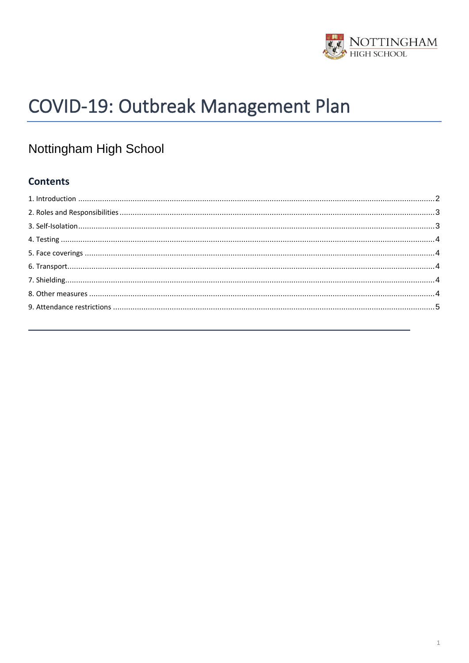

# COVID-19: Outbreak Management Plan

## Nottingham High School

## **Contents**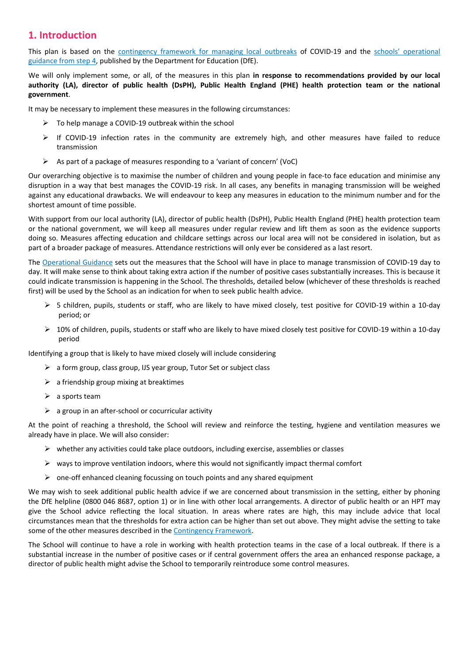## <span id="page-1-0"></span>**1. Introduction**

This plan is based on the [contingency framework for managing local outbreaks](https://www.gov.uk/government/publications/coronavirus-covid-19-local-restrictions-in-education-and-childcare-settings) of COVID-19 and the schools' [operational](https://www.gov.uk/government/publications/actions-for-schools-during-the-coronavirus-outbreak)  [guidance from step 4,](https://www.gov.uk/government/publications/actions-for-schools-during-the-coronavirus-outbreak) published by the Department for Education (DfE).

We will only implement some, or all, of the measures in this plan **in response to recommendations provided by our local authority (LA), director of public health (DsPH), Public Health England (PHE) health protection team or the national government**.

It may be necessary to implement these measures in the following circumstances:

- $\triangleright$  To help manage a COVID-19 outbreak within the school
- $\triangleright$  If COVID-19 infection rates in the community are extremely high, and other measures have failed to reduce transmission
- $\triangleright$  As part of a package of measures responding to a 'variant of concern' (VoC)

Our overarching objective is to maximise the number of children and young people in face-to face education and minimise any disruption in a way that best manages the COVID-19 risk. In all cases, any benefits in managing transmission will be weighed against any educational drawbacks. We will endeavour to keep any measures in education to the minimum number and for the shortest amount of time possible.

With support from our local authority (LA), director of public health (DsPH), Public Health England (PHE) health protection team or the national government, we will keep all measures under regular review and lift them as soon as the evidence supports doing so. Measures affecting education and childcare settings across our local area will not be considered in isolation, but as part of a broader package of measures. Attendance restrictions will only ever be considered as a last resort.

The [Operational Guidance](https://www.gov.uk/government/publications/actions-for-schools-during-the-coronavirus-outbreak) sets out the measures that the School will have in place to manage transmission of COVID-19 day to day. It will make sense to think about taking extra action if the number of positive cases substantially increases. This is because it could indicate transmission is happening in the School. The thresholds, detailed below (whichever of these thresholds is reached first) will be used by the School as an indication for when to seek public health advice.

- ➢ 5 children, pupils, students or staff, who are likely to have mixed closely, test positive for COVID-19 within a 10-day period; or
- $\triangleright$  10% of children, pupils, students or staff who are likely to have mixed closely test positive for COVID-19 within a 10-day period

Identifying a group that is likely to have mixed closely will include considering

- ➢ a form group, class group, IJS year group, Tutor Set or subject class
- $\triangleright$  a friendship group mixing at breaktimes
- $\triangleright$  a sports team
- $\triangleright$  a group in an after-school or cocurricular activity

At the point of reaching a threshold, the School will review and reinforce the testing, hygiene and ventilation measures we already have in place. We will also consider:

- $\triangleright$  whether any activities could take place outdoors, including exercise, assemblies or classes
- $\triangleright$  ways to improve ventilation indoors, where this would not significantly impact thermal comfort
- ➢ one-off enhanced cleaning focussing on touch points and any shared equipment

We may wish to seek additional public health advice if we are concerned about transmission in the setting, either by phoning the DfE helpline (0800 046 8687, option 1) or in line with other local arrangements. A director of public health or an HPT may give the School advice reflecting the local situation. In areas where rates are high, this may include advice that local circumstances mean that the thresholds for extra action can be higher than set out above. They might advise the setting to take some of the other measures described in th[e Contingency Framework.](https://assets.publishing.service.gov.uk/government/uploads/system/uploads/attachment_data/file/1011704/20210817_Contingency_Framework_FINAL.pdf)

The School will continue to have a role in working with health protection teams in the case of a local outbreak. If there is a substantial increase in the number of positive cases or if central government offers the area an enhanced response package, a director of public health might advise the School to temporarily reintroduce some control measures.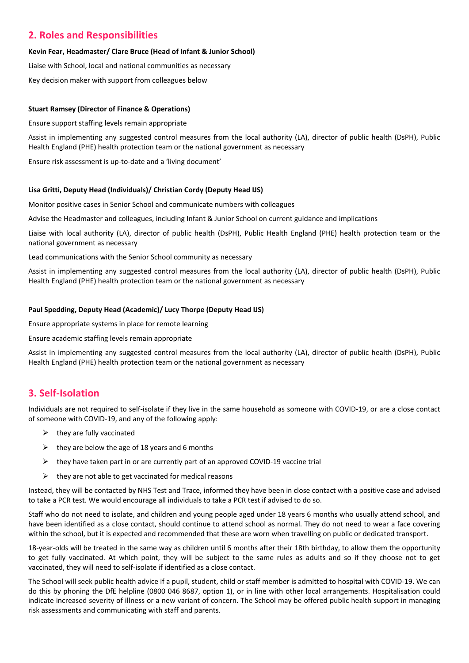## <span id="page-2-0"></span>**2. Roles and Responsibilities**

#### **Kevin Fear, Headmaster/ Clare Bruce (Head of Infant & Junior School)**

Liaise with School, local and national communities as necessary

Key decision maker with support from colleagues below

#### **Stuart Ramsey (Director of Finance & Operations)**

Ensure support staffing levels remain appropriate

Assist in implementing any suggested control measures from the local authority (LA), director of public health (DsPH), Public Health England (PHE) health protection team or the national government as necessary

Ensure risk assessment is up-to-date and a 'living document'

#### **Lisa Gritti, Deputy Head (Individuals)/ Christian Cordy (Deputy Head IJS)**

Monitor positive cases in Senior School and communicate numbers with colleagues

Advise the Headmaster and colleagues, including Infant & Junior School on current guidance and implications

Liaise with local authority (LA), director of public health (DsPH), Public Health England (PHE) health protection team or the national government as necessary

Lead communications with the Senior School community as necessary

Assist in implementing any suggested control measures from the local authority (LA), director of public health (DsPH), Public Health England (PHE) health protection team or the national government as necessary

#### **Paul Spedding, Deputy Head (Academic)/ Lucy Thorpe (Deputy Head IJS)**

Ensure appropriate systems in place for remote learning

Ensure academic staffing levels remain appropriate

Assist in implementing any suggested control measures from the local authority (LA), director of public health (DsPH), Public Health England (PHE) health protection team or the national government as necessary

## <span id="page-2-1"></span>**3. Self-Isolation**

Individuals are not required to self-isolate if they live in the same household as someone with COVID-19, or are a close contact of someone with COVID-19, and any of the following apply:

- $\triangleright$  they are fully vaccinated
- $\triangleright$  they are below the age of 18 years and 6 months
- $\triangleright$  they have taken part in or are currently part of an approved COVID-19 vaccine trial
- $\triangleright$  they are not able to get vaccinated for medical reasons

Instead, they will be contacted by NHS Test and Trace, informed they have been in close contact with a positive case and advised to take a PCR test. We would encourage all individuals to take a PCR test if advised to do so.

Staff who do not need to isolate, and children and young people aged under 18 years 6 months who usually attend school, and have been identified as a close contact, should continue to attend school as normal. They do not need to wear a face covering within the school, but it is expected and recommended that these are worn when travelling on public or dedicated transport.

18-year-olds will be treated in the same way as children until 6 months after their 18th birthday, to allow them the opportunity to get fully vaccinated. At which point, they will be subject to the same rules as adults and so if they choose not to get vaccinated, they will need to self-isolate if identified as a close contact.

The School will seek public health advice if a pupil, student, child or staff member is admitted to hospital with COVID-19. We can do this by phoning the DfE helpline (0800 046 8687, option 1), or in line with other local arrangements. Hospitalisation could indicate increased severity of illness or a new variant of concern. The School may be offered public health support in managing risk assessments and communicating with staff and parents.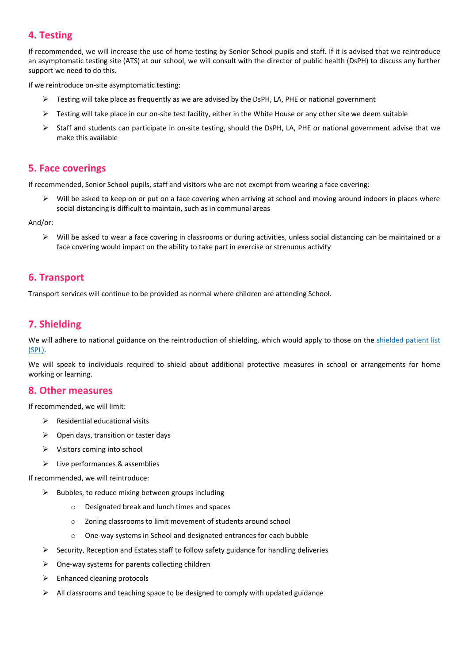## <span id="page-3-0"></span>**4. Testing**

If recommended, we will increase the use of home testing by Senior School pupils and staff. If it is advised that we reintroduce an asymptomatic testing site (ATS) at our school, we will consult with the director of public health (DsPH) to discuss any further support we need to do this.

If we reintroduce on-site asymptomatic testing:

- ➢ Testing will take place as frequently as we are advised by the DsPH, LA, PHE or national government
- $\triangleright$  Testing will take place in our on-site test facility, either in the White House or any other site we deem suitable
- $\triangleright$  Staff and students can participate in on-site testing, should the DsPH, LA, PHE or national government advise that we make this available

### <span id="page-3-1"></span>**5. Face coverings**

If recommended, Senior School pupils, staff and visitors who are not exempt from wearing a face covering:

Will be asked to keep on or put on a face covering when arriving at school and moving around indoors in places where social distancing is difficult to maintain, such as in communal areas

And/or:

 $\triangleright$  Will be asked to wear a face covering in classrooms or during activities, unless social distancing can be maintained or a face covering would impact on the ability to take part in exercise or strenuous activity

## <span id="page-3-2"></span>**6. Transport**

Transport services will continue to be provided as normal where children are attending School.

## <span id="page-3-3"></span>**7. Shielding**

We will adhere to national guidance on the reintroduction of shielding, which would apply to those on the shielded patient list [\(SPL\).](https://digital.nhs.uk/coronavirus/shielded-patient-list)

We will speak to individuals required to shield about additional protective measures in school or arrangements for home working or learning.

#### <span id="page-3-4"></span>**8. Other measures**

If recommended, we will limit:

- $\triangleright$  Residential educational visits
- $\triangleright$  Open days, transition or taster days
- ➢ Visitors coming into school
- ➢ Live performances & assemblies

If recommended, we will reintroduce:

- $\triangleright$  Bubbles, to reduce mixing between groups including
	- o Designated break and lunch times and spaces
	- o Zoning classrooms to limit movement of students around school
	- o One-way systems in School and designated entrances for each bubble
- $\triangleright$  Security, Reception and Estates staff to follow safety guidance for handling deliveries
- $\triangleright$  One-way systems for parents collecting children
- $\triangleright$  Enhanced cleaning protocols
- $\triangleright$  All classrooms and teaching space to be designed to comply with updated guidance